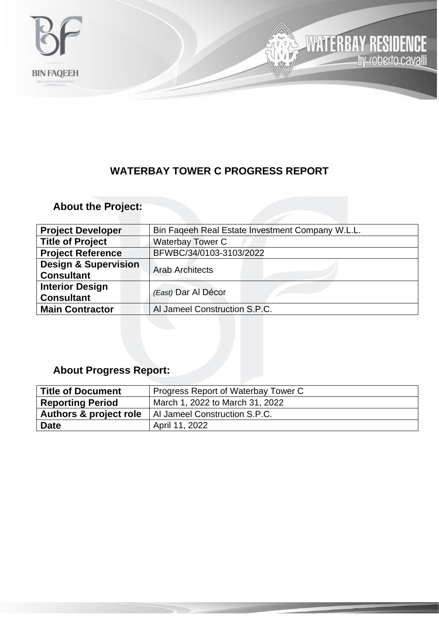

### **WATERBAY TOWER C PROGRESS REPORT**

**WATERBAY RESIDENCE**<br>hy-roberto.cavalli

لأرا

## **About the Project:**

| <b>Project Developer</b>                             | Bin Fageeh Real Estate Investment Company W.L.L. |  |
|------------------------------------------------------|--------------------------------------------------|--|
| <b>Title of Project</b>                              | <b>Waterbay Tower C</b>                          |  |
| <b>Project Reference</b>                             | BFWBC/34/0103-3103/2022                          |  |
| <b>Design &amp; Supervision</b><br><b>Consultant</b> | <b>Arab Architects</b>                           |  |
| <b>Interior Design</b><br><b>Consultant</b>          | (East) Dar Al Décor                              |  |
| <b>Main Contractor</b>                               | Al Jameel Construction S.P.C.                    |  |

## **About Progress Report:**

| <b>Title of Document</b>          | Progress Report of Waterbay Tower C |
|-----------------------------------|-------------------------------------|
| <b>Reporting Period</b>           | March 1, 2022 to March 31, 2022     |
| <b>Authors &amp; project role</b> | Al Jameel Construction S.P.C.       |
| <b>Date</b>                       | April 11, 2022                      |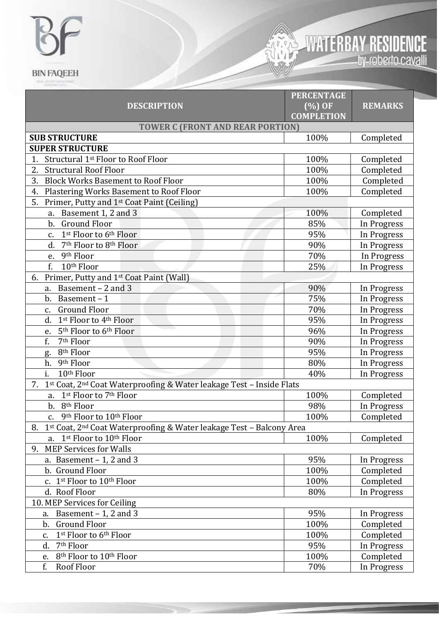# $\overline{P}$  $\mathbb{R}$ **BIN FAQEEH**



|                                                                                        | <b>PERCENTAGE</b> |                |  |  |
|----------------------------------------------------------------------------------------|-------------------|----------------|--|--|
| <b>DESCRIPTION</b>                                                                     | $(\%)$ OF         | <b>REMARKS</b> |  |  |
|                                                                                        | <b>COMPLETION</b> |                |  |  |
| <b>TOWER C (FRONT AND REAR PORTION)</b>                                                |                   |                |  |  |
| <b>SUB STRUCTURE</b>                                                                   | 100%              | Completed      |  |  |
| <b>SUPER STRUCTURE</b>                                                                 |                   |                |  |  |
| Structural 1st Floor to Roof Floor<br>1.                                               | 100%              | Completed      |  |  |
| 2.<br><b>Structural Roof Floor</b>                                                     | 100%              | Completed      |  |  |
| <b>Block Works Basement to Roof Floor</b><br>3.                                        | 100%              | Completed      |  |  |
| Plastering Works Basement to Roof Floor<br>4.                                          | 100%              | Completed      |  |  |
| 5.<br>Primer, Putty and 1 <sup>st</sup> Coat Paint (Ceiling)                           |                   |                |  |  |
| Basement 1, 2 and 3<br>a.                                                              | 100%              | Completed      |  |  |
| <b>Ground Floor</b><br>$\mathbf b$ .                                                   | 85%               | In Progress    |  |  |
| 1st Floor to 6th Floor<br>c.                                                           | 95%               | In Progress    |  |  |
| 7 <sup>th</sup> Floor to 8 <sup>th</sup> Floor<br>d.                                   | 90%               | In Progress    |  |  |
| 9th Floor<br>e.                                                                        | 70%               | In Progress    |  |  |
| f.<br>10 <sup>th</sup> Floor                                                           | 25%               | In Progress    |  |  |
| Primer, Putty and 1st Coat Paint (Wall)<br>6.                                          |                   |                |  |  |
| Basement - 2 and 3<br>a.                                                               | 90%               | In Progress    |  |  |
| Basement-1<br>b.                                                                       | 75%               | In Progress    |  |  |
| <b>Ground Floor</b><br>c.                                                              | 70%               | In Progress    |  |  |
| 1st Floor to 4th Floor<br>d.                                                           | 95%               | In Progress    |  |  |
| 5 <sup>th</sup> Floor to 6 <sup>th</sup> Floor<br>e.                                   | 96%               | In Progress    |  |  |
| f.<br>7 <sup>th</sup> Floor                                                            | 90%               | In Progress    |  |  |
| 8 <sup>th</sup> Floor<br>g.                                                            | 95%               | In Progress    |  |  |
| 9th Floor<br>h.                                                                        | 80%               | In Progress    |  |  |
| i.<br>10 <sup>th</sup> Floor                                                           | 40%               | In Progress    |  |  |
| 1st Coat, 2 <sup>nd</sup> Coat Waterproofing & Water leakage Test - Inside Flats<br>7. |                   |                |  |  |
| 1st Floor to 7th Floor<br>a.                                                           | 100%              | Completed      |  |  |
| 8 <sup>th</sup> Floor<br>b.                                                            | 98%               | In Progress    |  |  |
| 9 <sup>th</sup> Floor to 10 <sup>th</sup> Floor<br>$\mathbf{C}$ .                      | 100%              | Completed      |  |  |
| 1st Coat, 2 <sup>nd</sup> Coat Waterproofing & Water leakage Test - Balcony Area<br>8. |                   |                |  |  |
| 1st Floor to 10 <sup>th</sup> Floor<br>a.                                              | 100%              | Completed      |  |  |
| <b>MEP Services for Walls</b><br>9.                                                    |                   |                |  |  |
| a. Basement $-1$ , 2 and 3                                                             | 95%               | In Progress    |  |  |
| b. Ground Floor                                                                        | 100%              | Completed      |  |  |
| c. 1st Floor to 10th Floor                                                             | 100%              | Completed      |  |  |
| d. Roof Floor                                                                          | 80%               | In Progress    |  |  |
| 10. MEP Services for Ceiling                                                           |                   |                |  |  |
| Basement $-1$ , 2 and 3<br>a.                                                          | 95%               | In Progress    |  |  |
| <b>Ground Floor</b><br>b.                                                              | 100%              | Completed      |  |  |
| 1st Floor to 6th Floor<br>c.                                                           | 100%              | Completed      |  |  |
| 7 <sup>th</sup> Floor<br>d.                                                            | 95%               | In Progress    |  |  |
| 8 <sup>th</sup> Floor to 10 <sup>th</sup> Floor<br>e.                                  | 100%              | Completed      |  |  |
| f.<br>Roof Floor                                                                       | 70%               | In Progress    |  |  |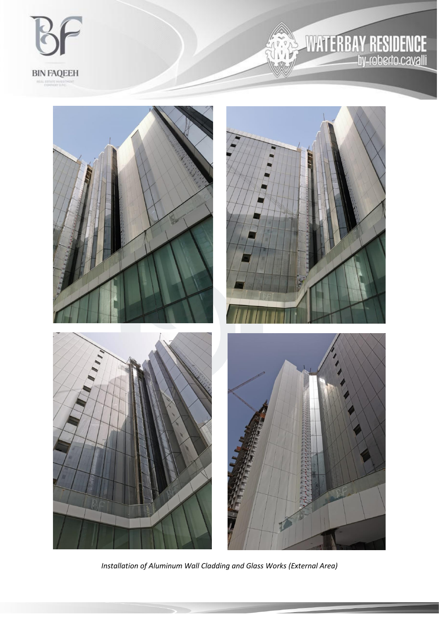

#### **Y RESIDENCE**<br>hy-roberto.cavalli Ŧ R 啊

 $\mathbf{v}$ 



*Installation of Aluminum Wall Cladding and Glass Works (External Area)*